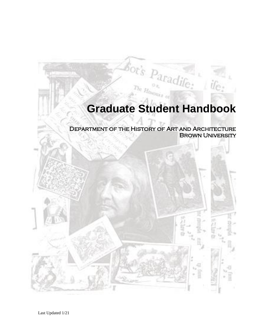# **Graduate Student Handbook**

 $\dot{u}_{\rm C}$ 

Department of the History of Art and Architecture Brown University

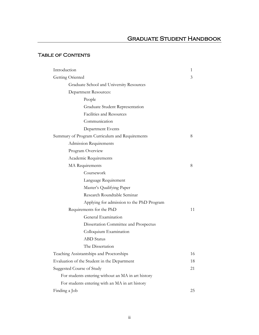# Graduate Student Handbook

# TABLE OF CONTENTS

| Introduction                                       | 1  |
|----------------------------------------------------|----|
| Getting Oriented                                   | 3  |
| Graduate School and University Resources           |    |
| <b>Department Resources:</b>                       |    |
| People                                             |    |
| Graduate Student Representation                    |    |
| Facilities and Resources                           |    |
| Communication                                      |    |
| Department Events                                  |    |
| Summary of Program Curriculum and Requirements     | 8  |
| Admission Requirements                             |    |
| Program Overview                                   |    |
| Academic Requirements                              |    |
| MA Requirements                                    | 8  |
| Coursework                                         |    |
| Language Requirement                               |    |
| Master's Qualifying Paper                          |    |
| Research Roundtable Seminar                        |    |
| Applying for admission to the PhD Program          |    |
| Requirements for the PhD                           | 11 |
| General Examination                                |    |
| Dissertation Committee and Prospectus              |    |
| Colloquium Examination                             |    |
| <b>ABD</b> Status                                  |    |
| The Dissertation                                   |    |
| Teaching Assistantships and Proctorships           | 16 |
| Evaluation of the Student in the Department        | 18 |
| Suggested Course of Study                          |    |
| For students entering without an MA in art history |    |
| For students entering with an MA in art history    |    |
| Finding a Job                                      | 25 |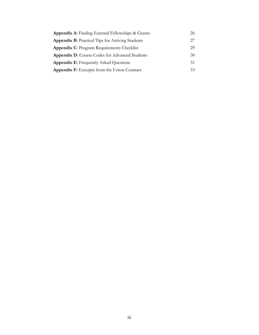| <b>Appendix A:</b> Finding External Fellowships & Grants | 26 |
|----------------------------------------------------------|----|
| <b>Appendix B:</b> Practical Tips for Arriving Students  | 27 |
| <b>Appendix C: Program Requirements Checklist</b>        | 29 |
| <b>Appendix D:</b> Course Codes for Advanced Students    | 30 |
| <b>Appendix E:</b> Frequently Asked Questions            | 31 |
| <b>Appendix F:</b> Excerpts from the Union Contract      | 33 |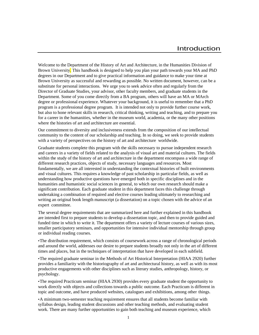Welcome to the Department of the History of Art and Architecture, in the Humanities Division of Brown University. This handbook is designed to help you plan your path towards your MA and PhD degrees in our Department and to give practical information and guidance to make your time at Brown University as successful and rewarding as possible. No written document, however, can be a substitute for personal interactions. We urge you to seek advice often and regularly from the Director of Graduate Studies, your advisor, other faculty members, and graduate students in the Department. Some of you come directly from a BA program, others will have an MA or MArch degree or professional experience. Whatever your background, it is useful to remember that a PhD program is a professional degree program. It is intended not only to provide further course work, but also to hone relevant skills in research, critical thinking, writing and teaching, and to prepare you for a career in the humanities, whether in the museum world, academia, or the many other positions where the histories of art and architecture are essential.

Our commitment to diversity and inclusiveness extends from the composition of our intellectual community to the content of our scholarship and teaching. In so doing, we seek to provide students with a variety of perspectives on the history of art and architecture worldwide.

Graduate students complete this program with the skills necessary to pursue independent research and careers in a variety of fields related to the analysis of visual art and material cultures. The fields within the study of the history of art and architecture in the department encompass a wide range of different research practices, objects of study, necessary languages and resources. Most fundamentally, we are all interested in understanding the contextual histories of built environments and visual cultures. This requires a knowledge of past scholarship in particular fields, as well as understanding how productive questions have emerged both in specific disciplines and in the humanities and humanistic social sciences in general, to which our own research should make a significant contribution. Each graduate student in this department faces this challenge through undertaking a combination of required and elective courses leading ultimately to researching and writing an original book length manuscript (a dissertation) on a topic chosen with the advice of an expert committee.

The several degree requirements that are summarized here and further explained in this handbook are intended first to prepare students to develop a dissertation topic, and then to provide guided and funded time in which to write it. The department offers a variety of lecture courses of various sizes, smaller participatory seminars, and opportunities for intensive individual mentorship through group or individual reading courses.

•The distribution requirement, which consists of coursework across a range of chronological periods and around the world, addresses our desire to prepare students broadly not only in the art of different times and places, but in the techniques of interpretation that have developed in each subfield.

•The required graduate seminar in the Methods of Art Historical Interpretation (HIAA 2920) further provides a familiarity with the historiography of art and architectural history, as well as with its most productive engagements with other disciplines such as literary studies, anthropology, history, or psychology.

•The required Practicum seminar (HIAA 2930) provides every graduate student the opportunity to work directly with objects and collections towards a public outcome. Each Practicum is different in topic and outcome, and have produced websites, catalogues and exhibitions, among other things.

•A minimum two-semester teaching requirement ensures that all students become familiar with syllabus design, leading student discussions and other teaching methods, and evaluating student work. There are many further opportunities to gain both teaching and museum experience, which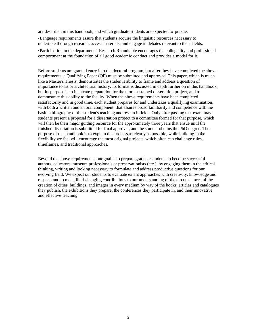are described in this handbook, and which graduate students are expected to pursue.

•Language requirements assure that students acquire the linguistic resources necessary to undertake thorough research, access materials, and engage in debates relevant to their fields.

•Participation in the departmental Research Roundtable encourages the collegiality and professional comportment at the foundation of all good academic conduct and provides a model for it.

Before students are granted entry into the doctoral program, but after they have completed the above requirements, a Qualifying Paper (QP) must be submitted and approved. This paper, which is much like a Master's Thesis, demonstrates the student's ability to frame and address a question of importance to art or architectural history. Its format is discussed in depth further on in this handbook, but its purpose is to inculcate preparation for the more sustained dissertation project, and to demonstrate this ability to the faculty. When the above requirements have been completed satisfactorily and in good time, each student prepares for and undertakes a qualifying examination, with both a written and an oral component, that assures broad familiarity and competence with the basic bibliography of the student's teaching and research fields. Only after passing that exam may students present a proposal for a dissertation project to a committee formed for that purpose, which will then be their major guiding resource for the approximately three years that ensue until the finished dissertation is submitted for final approval, and the student obtains the PhD degree. The purpose of this handbook is to explain this process as clearly as possible, while building in the flexibility we feel will encourage the most original projects, which often can challenge rules, timeframes, and traditional approaches.

Beyond the above requirements, our goal is to prepare graduate students to become successful authors, educators, museum professionals or preservationists (etc.), by engaging them in the critical thinking, writing and looking necessary to formulate and address productive questions for our evolving field. We expect our students to evaluate extant approaches with creativity, knowledge and respect, and to make field-changing contributions to our understanding of the circumstances of the creation of cities, buildings, and images in every medium by way of the books, articles and catalogues they publish, the exhibitions they prepare, the conferences they participate in, and their innovative and effective teaching.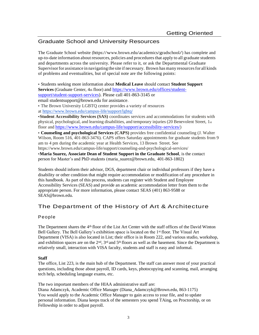# Graduate School and University Resources

The Graduate School website (http[s://www.brown.edu/academics/gradschool/\)](http://www.brown.edu/academics/gradschool/)) has complete and up-to-date information about resources, policies and proceduresthat apply to all graduate students and departments across the university. Please refer to it, or ask the Departmental Graduate Supervisorfor assistance in navigating the site if necessary. Brown has many resourcesfor all kinds of problems and eventualities, but of special note are the following points:

• Students seeking more information about **Medical Leave** should contact **Student Support**  Services (Graduate Center, 4th floor) an[d https://www.brown.edu/offices/student](https://www.brown.edu/offices/student-support/student-support-services)[support/student-support-services\)](https://www.brown.edu/offices/student-support/student-support-services). Please call 401-863-3145 or email studentsupport@brown.edu for assistance.

• The Brown University LGBTQ center provides a variety of resources

at <https://www.brown.edu/campus-life/support/lgbtq/>

•**Student Accessibility Services (SAS)** coordinates services and accommodations for students with physical, psychological, and learning disabilities, and temporary injuries (20 Benevolent Street, 1st floor and <https://www.brown.edu/campus-life/support/accessibility-services/>)

• **Counseling and psychological Services (CAPS)** provides free confidential counseling (J. Walter Wilson, Room 516, 401-863-3476). CAPS offers Saturday appointments for graduate students from 9 am to 4 pm during the academic year at Health Services, 13 Brown Street. See https://www.brown.edu/campus-life/support/counseling-and-psychological-services/

•**Maria Suarez, Associate Dean of Student Support in the Graduate School**, is the contact person for Master's and PhD students [\(maria\\_suarez@brown.edu,](mailto:maria_suarez@brown.edu) 401-863-1802)

Students should inform their advisor, DGS, department chair or individual professors if they have a disability or other condition that might require accommodation or modification of any procedure in this handbook. As part of this process, students can register with Student and Employee Accessibility Services (SEAS) and provide an academic accommodation letter from them to the appropriate person. For more information, please contact SEAS (401) 863-9588 or [SEAS@brown.edu.](mailto:SEAS@brown.edu)

# The Department of the History of Art & Architecture

# People

The Department shares the 4th floor of the List Art Center with the staff offices of the David Winton Bell Gallery. The Bell Gallery's exhibition space is located on the 1<sup>st</sup> floor. The Visual Art Department (VISA) is also located in List; their office is in Room 222, and various studio, workshop, and exhibition spaces are on the  $2<sup>nd</sup>$ ,  $3<sup>rd</sup>$  and  $5<sup>th</sup>$  floors as well as the basement. Since the Department is relatively small, interaction with VISA faculty, students and staff is easy and informal.

# **Staff**

The office, List 223, is the main hub of the Department. The staff can answer most of your practical questions, including those about payroll, ID cards, keys, photocopying and scanning, mail, arranging tech help, scheduling language exams, etc.

The two important members of the HIAA administrative staff are:

Diana Adamczyk, Academic Office Manager [\(Diana\\_Adamczyk@Brown.edu, 8](mailto:(Diana_Adamczyk@Brown.edu)63-1175) You would apply to the Academic Office Manager to gain access to your file, and to update personal information. Diana keeps track of the semesters you spend TAing, on Proctorship, or on Fellowship in order to adjust payroll.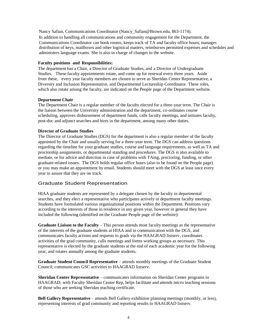Nancy Safian, Communications Coordinator (Nancy\_Safian@Brown.edu, 863-1174). In addition to handling all communications and community engagement for the Department, the Communications Coordinator can book rooms, keeps track of TA and faculty office hours, manages distribution of keys, mailboxes and other logistical matters, reimburses permitted expenses and schedules and administers language exams. She is also in charge of changes to the website.

#### **Faculty positions and Responsibilities:**

The department has a Chair, a Director of Graduate Studies, and a Director of Undergraduate Studies. These faculty appointments rotate, and come up for renewal every three years. Aside from these, every year faculty members are chosen to serve as Sheridan Center Representative, a Diversity and Inclusion Representative, and Departmental Lectureship Coordinator. These roles, which also rotate among the faculty, are indicated on the People page of the Department website.

#### **Department Chair**

The Department Chair is a regular member of the faculty elected for a three-year term. The Chair is the liaison between the University administration and the department, co-ordinates course scheduling, approves disbursement of department funds, calls faculty meetings, and initiates faculty, post-doc and adjunct searches and hires in the department, among many other duties.

#### **Director of Graduate Studies**

The Director of Graduate Studies (DGS) for the department is also a regular member of the faculty appointed by the Chair and usually serving for a three-year term. The DGS can address questions regarding the timeline for your graduate studies, course and language requirements, as well as TA and proctorship assignments, or departmental standing and procedures. The DGS is also available to mediate, or for advice and direction in case of problems with TAing, proctoring, funding, or other graduate-related issues. The DGS holds regular office hours (also to be found on the People page) or you may make an appointment by email. Students should meet with the DGS at least once every year to assure that they are on track.

### Graduate Student Representation

HIAA graduate students are represented by a delegate chosen by the faculty in departmental searches, and they elect a representative who participates actively in department faculty meetings. Students have formulated various organizational positions within the Department. Positions vary according to the interests of those in residence in any given year, however in general they have included the following (identified on the Graduate People page of the website):

**Graduate Liaison to the Faculty** – This person attends most faculty meetings as the representative of the interests of the graduate students at HIAA and in communication with the DGS, and communicates faculty actions and requests to grads via the HAAGRAD listserv, coordinates activities of the grad community, calls meetings and forms working groups as necessary. This representative is elected by the graduate students at the end of each academic year for the following year, and rotates annually among the graduate students.

**Graduate Student Council Representative** – attends monthly meetings of the Graduate Student Council; communicates GSC activities to HAAGRAD listserv.

**Sheridan Center Representative** – communicates information on Sheridan Center programs to HAAGRAD; with Faculty Sheridan Center Rep, helps facilitate and attends micro teaching sessions of those who are seeking Sheridan teaching certificate.

**Bell Gallery Representative** – attends Bell Gallery exhibition planning meetings (monthly, or less), representing interests of grad community and reporting results to HAAGRAD listserv.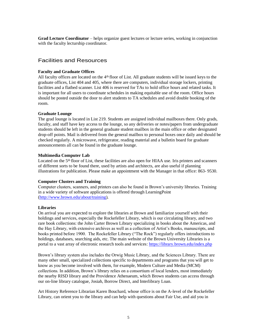**Grad Lecture Coordinator** – helps organize guest lectures or lecture series, working in conjunction with the faculty lecturship coordinator.

# Facilities and Resources

### **Faculty and Graduate Offices**

All faculty offices are located on the 4th floor of List. All graduate students will be issued keys to the graduate offices, List 404 and 405, where there are computers, individual storage lockers, printing facilities and a flatbed scanner. List 406 is reserved for TAs to hold office hours and related tasks. It is important for all users to coordinate schedules in making equitable use of the room. Office hours should be posted outside the door to alert students to TA schedules and avoid double booking of the room.

# **Graduate Lounge**

The grad lounge is located in List 219. Students are assigned individual mailboxes there. Only grads, faculty, and staff have key access to the lounge, so any deliveries or notes/papers from undergraduate students should be left in the general graduate student mailbox in the main office or other designated drop-off points. Mail is delivered from the general mailbox to personal boxes once daily and should be checked regularly. A microwave, refrigerator, reading material and a bulletin board for graduate announcements all can be found in the graduate lounge.

# **Multimedia Computer Lab**

Located on the 5<sup>th</sup> floor of List, these facilities are also open for HIAA use. Iris printers and scanners of different sorts to be found there, used by artists and architects, are also useful if planning illustrations for publication. Please make an appointment with the Manager in that office: 863- 9530.

# **Computer Clusters and Training**

Computer clusters, scanners, and printers can also be found in Brown's university libraries. Training in a wide variety of software applications is offered through LearningPoint [\(http://www.brown.edu/about/training\).](http://www.brown.edu/about/training))

### **Libraries**

On arrival you are expected to explore the libraries at Brown and familiarize yourself with their holdings and services, especially the Rockefeller Library, which is our circulating library, and two rare book collections: the John Carter Brown Library specializing in books about the Americas, and the Hay Library, with extensive archives as well as a collection of Artist's Books, manuscripts, and books printed before 1900. The Rockefeller Library ("The Rock") regularly offers introductions to holdings, databases, searching aids, etc. The main website of the Brown University Libraries is a portal to a vast array of electronic research tools and services: <https://library.brown.edu/index.php>

Brown's library system also includes the Orwig Music Library, and the Sciences Library. There are many other small, specialized collections specific to departments and programs that you will get to know as you become involved with them, for example, Modern Culture and Media (MCM) collections. In addition, Brown's library relies on a consortium of local lenders, most immediately the nearby RISD library and the Providence Athenaeum, which Brown students can access through our on-line library catalogue, Josiah, Borrow Direct, and Interlibrary Loan.

Art History Reference Librarian Karen Bouchard, whose office is on the A-level of the Rockefeller Library, can orient you to the library and can help with questions about Fair Use, and aid you in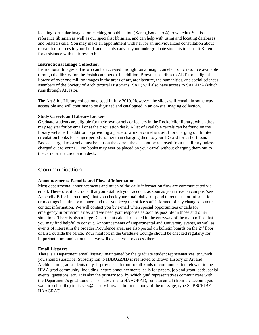locating particular images for teaching or publication (Karen\_Bouchard@brown.edu). She is a reference librarian as well as our specialist librarian, and can help with using and locating databases and related skills. You may make an appointment with her for an individualized consultation about research resources in your field, and can also advise your undergraduate students to consult Karen for assistance with their research.

# **Instructional Image Collection**

Instructional Images at Brown can be accessed through Luna Insight, an electronic resource available through the library (on the Josiah catalogue). In addition, Brown subscribes to ARTstor, a digital library of over one million images in the areas of art, architecture, the humanities, and social sciences. Members of the Society of Architectural Historians (SAH) will also have access to SAHARA (which runs through ARTstor.

The Art Slide Library collection closed in July 2010. However, the slides will remain in some way accessible and will continue to be digitized and catalogued in an on-site imaging collection.

# **Study Carrels and Library Lockers**

Graduate students are eligible for their own carrels or lockers in the Rockefeller library, which they may register for by email or at the circulation desk. A list of available carrels can be found on the library website. In addition to providing a place to work, a carrel is useful for charging out limited circulation books for longer periods, rather than charging them to your ID card for a short loan. Books charged to carrels must be left on the carrel; they cannot be removed from the library unless charged out to your ID. No books may ever be placed on your carrel without charging them out to the carrel at the circulation desk.

# Communication

### **Announcements, E-mails, and Flow of Information**

Most departmental announcements and much of the daily information flow are communicated via email. Therefore, it is crucial that you establish your account as soon as you arrive on campus (see Appendix B for instructions), that you check your email daily, respond to requests for information or meetings in a timely manner, and that you keep the office staff informed of any changes to your contact information. We will contact you by e-mail when special opportunities or calls for emergency information arise, and we need your response as soon as possible in those and other situations. There is also a large Department calendar posted in the entryway of the main office that you may find helpful to consult. Announcements of Departmental and University events, as well as events of interest in the broader Providence area, are also posted on bulletin boards on the 2<sup>nd</sup> floor of List, outside the office. Your mailbox in the Graduate Lounge should be checked regularly for important communications that we will expect you to access there.

### **Email Listservs**

There is a Department email listserv, maintained by the graduate student representatives, to which you should subscribe. Subscription to **HAAGRAD** is restricted to Brown History of Art and Architecture grad students only. It provides a forum for all kinds of communication relevant to the HIAA grad community, including lecture announcements, calls for papers, job and grant leads, social events, questions, etc. It is also the primary tool by which grad representatives communicate with the Department's grad students. To subscribe to HAAGRAD, send an email (from the account you want to subscribe) to [listserv@listserv.brown.edu. I](mailto:listserv@listserv.brown.edu)n the body of the message, type SUBSCRIBE HAAGRAD.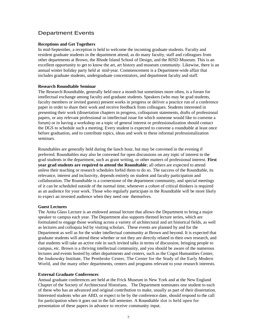# Department Events

## **Receptions and Get Togethers**

In mid-September, a reception is held to welcome the incoming graduate students. Faculty and resident graduate students in the department attend, as do many faculty, staff and colleagues from other departments at Brown, the Rhode Island School of Design, and the RISD Museum. This is an excellent opportunity to get to know the art, art history and museum community. Likewise, there is an annual winter holiday party held at mid-year. Commencement is a Department-wide affair that includes graduate students, undergraduate concentrators, and department faculty and staff.

# **Research Roundtable Seminar**

The Research Roundtable, generally held once a month but sometimes more often, is a forum for intellectual exchange among faculty and graduate students. Speakers (who may be grad students, faculty members or invited guests) present works in progress or deliver a practice run of a conference paper in order to share their work and receive feedback from colleagues. Students interested in presenting their work (dissertation chapters in progress, colloquium statements, drafts of professional papers, or any relevant professional or intellectual issue for which someone would like to convene a forum) or in having a workshop on a topic of general interest or professionalization should contact the DGS to schedule such a meeting. Every student is expected to convene a roundtable at least once before graduation, and to contribute topics, ideas and work to these informal professionalization seminars.

Roundtables are generally held during the lunch hour, but may be convened in the evening if preferred. Roundtables may also be convened for open discussions on any topic of interest to the grad students in the department, such as grant writing, or other matters of professional interest. **First year grad students are required to attend the Roundtable**; all others are expected to attend unless their teaching or research schedules forbid them to do so. The success of the Roundtable, its relevance, interest and inclusivity, depends entirely on student and faculty participation and collaboration. The Roundtable is a cornerstone of the department community, and special meetings of it can be scheduled outside of the normal time, whenever a cohort of critical thinkers is required as an audience for your work. Those who regularly participate in the Roundtable will be more likely to expect an invested audience when they need one themselves.

### **Guest Lectures**

The Anita Glass Lecture is an endowed annual lecture that allows the Department to bring a major speaker to campus each year. The Department also supports themed lecture series, which are formulated to engage those working across a variety of architectural and art historical fields, as well as lectures and colloquia led by visiting scholars. These events are planned by and for the Department as well as for the wider intellectual community at Brown and beyond. It is expected that graduate students will attend these whether or not they are directly related to their own research, and that students will take an active role in such invited talks in terms of discussion, bringing people to campus, etc. Brown is a thriving intellectual community, and you should be aware of the numerous lectures and events hosted by other departments and centers, such as the Cogut Humanities Center, the Joukowsky Institute, The Pembroke Center, The Center for the Study of the Early Modern World, and the many other departments, centers and programs relevant to your research interests.

# **External Graduate Conferences**

Annual graduate conferences are held at the Frick Museum in New York and at the New England Chapter of the Society of Architectural Historians. The Department nominates one student to each of these who has an advanced and original contribution to make, usually as part of their dissertation. Interested students who are ABD, or expect to be by the conference date, should respond to the call for participation when it goes out in the fall semester. A Roundtable slot is held open for presentation of these papers in advance to receive community input.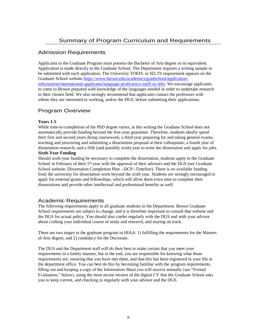# Admission Requirements

Applicants to the Graduate Program must possess the Bachelor of Arts degree or its equivalent. Application is made directly to the Graduate School. The Department requires a writing sample to be submitted with each application. The University TOEFL or IELTS requirement appears on the Graduate School website [https://www.brown.edu/academics/gradschool/application](https://www.brown.edu/academics/gradschool/application-information/international-applicants/language-proficiency-toefl-or-ielts)[information/international-applicants/language-proficiency-toefl-or-ielts.](https://www.brown.edu/academics/gradschool/application-information/international-applicants/language-proficiency-toefl-or-ielts) We encourage applicants to come to Brown prepared with knowledge of the languages needed in order to undertake research in their chosen field. We also strongly recommend that applicants contact the professors with whom they are interested in working, and/or the DGS, before submitting their applications.

# Program Overview

# **Years 1-5**

While time-to-completion of the PhD degree varies, at this writing the Graduate School does not automatically provide funding beyond the five-year guarantee. Therefore, students ideally spend their first and second years doing coursework; a third year preparing for and taking general exams, teaching and proctoring and submitting a dissertation proposal at their colloquium; a fourth year of dissertation research; and a fifth (and possibly sixth) year to write the dissertation and apply for jobs.

# **Sixth-Year Funding**

Should sixth-year funding be necessary to complete the dissertation, students apply to the Graduate School in February of their 5<sup>th</sup> year with the approval of their advisors and the DGS (see Graduate School website, Dissertation Completion Plan --DCP--Timeline). There is no available funding from the university for dissertation work beyond the sixth year. Students are strongly encouraged to apply for external grants and fellowships, which will allow them extra time to complete their dissertations and provide other intellectual and professional benefits as well.

# Academic Requirements

The following requirements apply to all graduate students in the Department. Brown Graduate School requirements are subject to change, and it is therefore important to consult that website and the DGS for actual policy. You should also confer regularly with the DGS and with your advisor about crafting your individual course of study and research, and staying on track.

There are two stages to the graduate program in HIAA: 1) fulfilling the requirements for the Masters of Arts degree, and 2) candidacy for the Doctorate.

The DGS and the Department staff will do their best to make certain that you meet your requirements in a timely manner, but in the end, you are responsible for knowing what those requirements are, ensuring that you have met them, and that this has been registered in your file in the department office. You can best do this by becoming familiar with the program requirements, filling out and keeping a copy of the Information Sheet you will receive annually (see "Formal Evaluation," below), using the most recent version of the digital CV that the Graduate School asks you to keep current, and checking in regularly with your advisor and the DGS.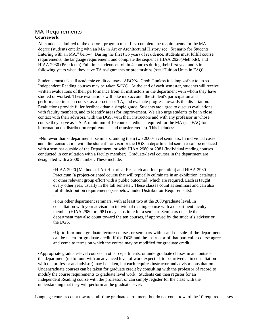# MA Requirements **Coursework**

•

All students admitted to the doctoral program must first complete the requirements for the MA degree (students entering with an MA in Art or Architectural History see "Scenario for Students Entering with an MA," below). During the first two years of residence, students must fulfill course requirements, the language requirement, and complete the sequence HIAA 2920(Methods), and HIAA 2930 (Practicum).Full time students enroll in 4 courses during their first year and 3 in following years when they have TA assignments or proctorships (see "Tuition Units in FAQ).

Students must take all academic credit courses "ABC/No Credit" unless it is impossible to do so. Independent Reading courses may be taken S/NC. At the end of each semester, students will receive written evaluations of their performance from all instructors in the department with whom they have studied or worked. These evaluations will take into account the student's participation and performance in each course, as a proctor or TA, and evaluate progress towards the dissertation. Evaluations provide fuller feedback than a simple grade. Students are urged to discuss evaluations with faculty members, and to identify areas for improvement. We also urge students to be in close contact with their advisors, with the DGS, with their instructors and with any professor in whose course they serve as TA. A minimum of 10 course credits is required for the MA (see FAQ for information on distribution requirements and transfer credits). This includes:

•No fewer than 6 departmental seminars, among them two 2000-level seminars. In individual cases and after consultation with the student's advisor or the DGS, a departmental seminar can be replaced with a seminar outside of the Department, or with HIAA 2980 or 2981 (individual reading courses conducted in consultation with a faculty member). Graduate-level courses in the department are designated with a 2000 number. These include:

•HIAA 2920 [Methods of Art Historical Research and Interpretation] and HIAA 2930 Practicum [a project-oriented course that will typically culminate in an exhibition, catalogue or other relevant group effort with a public outcome], which are required. Each is taught every other year, usually in the fall semester. These classes count as seminars and can also fulfill distribution requirements (see below under Distribution Requirements).

•Four other department seminars, with at least two at the 2000/graduate level. In consultation with your advisor, an individual reading course with a department faculty member (HIAA 2980 or 2981) may substitute for a seminar. Seminars outside the department may also count toward the ten courses, if approved by the student's advisor or the DGS.

•Up to four undergraduate lecture courses or seminars within and outside of the department can be taken for graduate credit, if the DGS and the instructor of that particular course agree and come to terms on which the course may be modified for graduate credit.

•Appropriate graduate-level courses in other departments, or undergraduate classes in and outside the department (up to four, with an advanced level of work expected, to be arrived at in consultation with the professor and advisor) may be taken, but each requires instructor and advisor consultation. Undergraduate courses can be taken for graduate credit by consulting with the professor of record to modify the course requirements to graduate level work. Students can then register for an Independent Reading course with the professor, or can simply register for the class with the understanding that they will perform at the graduate level.

Language courses count towards full-time graduate enrollment, but do not count toward the 10 required classes.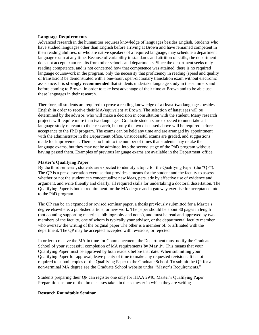#### **Language Requirements**

Advanced research in the humanities requires knowledge of languages besides English. Students who have studied languages other than English before arriving at Brown and have remained competent in their reading abilities, or who are native speakers of a required language, may schedule a department language exam at any time. Because of variability in standards and attrition of skills, the department does not accept exam results from other schools and departments. Since the department seeks only reading competence, and is not concerned how that competence was attained, there is no required language coursework in the program, only the necessity that proficiency in reading (speed and quality of translation) be demonstrated with a one-hour, open-dictionary translation exam without electronic assistance. It is **strongly recommended** that students undertake language study in the summers and before coming to Brown, in order to take best advantage of their time at Brown and to be able use these languages in their research.

Therefore, all students are required to prove a reading knowledge of **at least two** languages besides English in order to receive their MA/equivalent at Brown. The selection of languages will be determined by the advisor, who will make a decision in consultation with the student. Many research projects will require more than two languages. Graduate students are expected to undertake all language study relevant to their research, but only the two discussed above will be required before acceptance to the PhD program. The exams can be held any time and are arranged by appointment with the administrator in the Department office. Unsuccessful exams are graded, and suggestions made for improvement. There is no limit to the number of times that students may retake the language exams, but they may not be admitted into the second stage of the PhD program without having passed them. Examples of previous language exams are available in the Department office.

#### **Master's Qualifying Paper**

By the third semester, students are expected to identify a topic for the Qualifying Paper (the "QP"). The QP is a pre-dissertation exercise that provides a means for the student and the faculty to assess whether or not the student can conceptualize new ideas, persuade by effective use of evidence and argument, and write fluently and clearly, all required skills for undertaking a doctoral dissertation. The Qualifying Paper is both a requirement for the MA degree and a gateway exercise for acceptance into to the PhD program.

The QP can be an expanded or revised seminar paper, a thesis previously submitted for a Master's degree elsewhere, a published article, or new work. The paper should be about 30 pages in length (not counting supporting materials, bibliography and notes), and must be read and approved by two members of the faculty, one of whom is typically your advisor, or the departmental faculty member who oversaw the writing of the original paper.The other is a member of, or affiliated with the department. The QP may be accepted, accepted with revisions, or rejected.

In order to receive the MA in time for Commencement, the Department must notify the Graduate School of your successful completion of MA requirements **by May 1st .** This means that your Qualifying Paper must be approved by both readers before that date. When submitting your Qualifying Paper for approval, leave plenty of time to make any requested revisions. It is not required to submit copies of the Qualifying Paper to the Graduate School. To submit the QP for a non-terminal MA degree see the Graduate School website under "Master's Requirements."

Students preparing their QP can register one only for HIAA 2940, Master's Qualifying Paper Preparation, as one of the three classes taken in the semester in which they are writing.

#### **Research Roundtable Seminar**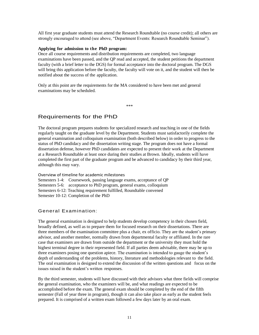All first year graduate students must attend the Research Roundtable (no course credit); all others are strongly encouraged to attend (see above, "Department Events: Research Roundtable Seminar").

#### **Applying for admission to the PhD program:**

Once all course requirements and distribution requirements are completed, two language examinations have been passed, and the QP read and accepted, the student petitions the department faculty (with a brief letter to the DGS) for formal acceptance into the doctoral program. The DGS will bring this application before the faculty, the faculty will vote on it, and the student will then be notified about the success of the application.

Only at this point are the requirements for the MA considered to have been met and general examinations may be scheduled.

\*\*\*

# Requirements for the PhD

The doctoral program prepares students for specialized research and teaching in one of the fields regularly taught on the graduate level by the Department. Students must satisfactorily complete the general examination and colloquium examination (both described below) in order to progress to the status of PhD candidacy and the dissertation writing stage. The program does not have a formal dissertation defense, however PhD candidates are expected to present their work at the Department at a Research Roundtable at least once during their studies at Brown. Ideally, students will have completed the first part of the graduate program and be advanced to candidacy by their third year, although this may vary.

Overview of timeline for academic milestones Semesters 1-4: Coursework, passing language exams, acceptance of QP Semesters 5-6: acceptance to PhD program, general exams, colloquium Semesters 6-12: Teaching requirement fulfilled, Roundtable convened Semester 10-12: Completion of the PhD

# General Examination:

The general examination is designed to help students develop competency in their chosen field, broadly defined, as well as to prepare them for focused research on their dissertations. There are three members of the examination committee plus a chair, ex officio. They are the student's primary advisor, and another member, normally drawn from departmental faculty or affiliated. In the rare case that examiners are drawn from outside the department or the university they must hold the highest terminal degree in their represented field. If all parties deem advisable, there may be up to three examiners posing one question apiece. The examination is intended to gauge the student's depth of understanding of the problems, history, literature and methodologies relevant to the field. The oral examination is designed to extend the discussion of the written questions and focus on the issues raised in the student's written responses.

By the third semester, students will have discussed with their advisors what three fields will comprise the general examination, who the examiners will be, and what readings are expected to be accomplished before the exam. The general exam should be completed by the end of the fifth semester (Fall of year three in program), though it can also take place as early as the student feels prepared. It is comprised of a written exam followed a few days later by an oral exam.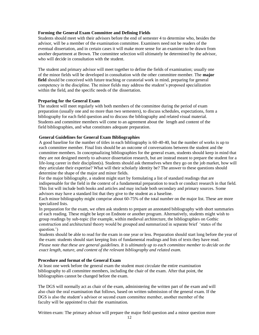# **Forming the General Exam Committee and Defining Fields**

Students should meet with their advisors before the end of semester 4 to determine who, besides the advisor, will be a member of the examination committee. Examiners need not be readers of the eventual dissertation, and in certain cases it will make more sense for an examiner to be drawn from another department at Brown. The committee selection will ultimately be determined by the advisor, who will decide in consultation with the student.

The student and primary advisor will meet together to define the fields of examination; usually one of the minor fields will be developed in consultation with the other committee member. The **major field** should be conceived with future teaching or curatorial work in mind, preparing for general competency in the discipline. The minor fields may address the student's proposed specialization within the field, and the specific needs of the dissertation.

### **Preparing for the General Exam**

The student will meet regularly with both members of the committee during the period of exam preparation (usually one and no more than two semesters), to discuss schedules, expectations, form a bibliography for each field question and to discuss the bibliography and related visual material. Students and committee members will come to an agreement about the length and content of the field bibliographies, and what constitutes adequate preparation.

# **General Guidelines for General Exam Bibliographies**

A good baseline for the number of titles in each bibliography is 60-40-40, but the number of works is up to each committee member. Final lists should be an outcome of conversations between the student and the committee members. In conceptualizing bibliographies for the general exam, students should keep in mind that they are not designed merely to advance dissertation research, but are instead meant to prepare the student for a life-long career in their discipline(s). Students should ask themselves when they go on the job market, how will they articulate their expertise? What will their scholarly identity be? The answer to these questions should determine the shape of the major and minor fields.

For the major bibliography, a student might start by formulating a list of standard readings that are indispensable for the field in the context of a fundamental preparation to teach or conduct research in that field. This list will include both books and articles and may include both secondary and primary sources. Some advisors may have a standard list that they give to the student as a baseline.

Each minor bibliography might comprise about 60-75% of the total number on the major list. These are more specialized lists.

In preparation for the exam, we often ask students to prepare an annotated bibliography with short summaries of each reading. These might be kept on Endnote or another program. Alternatively, students might wish to group readings by sub-topic (for example, within medieval architecture, the bibliographies on Gothic construction and architectural theory would be grouped and summarized in separate brief 'states of the question.')

Students should be able to read for the exam in one year or less. Preparation should start long before the year of the exam: students should start keeping lists of fundamental readings and lists of texts they have read. *Please note that these are general guidelines. It is ultimately up to each committee member to decide on the exact length, nature, and content of the relevant bibliography and related exam.*

# **Procedure and format of the General Exam**

At least one week before the general exam the student must circulate the entire examination bibliography to all committee members, including the chair of the exam. After that point, the bibliographies cannot be changed before the exam.

The DGS will normally act as chair of the exam, administering the written part of the exam and will also chair the oral examination that follows, based on written submission of the general exam. If the DGS is also the student's advisor or second exam committee member, another member of the faculty will be appointed to chair the examination.

Written exam: The primary advisor will prepare the major field question and a minor question more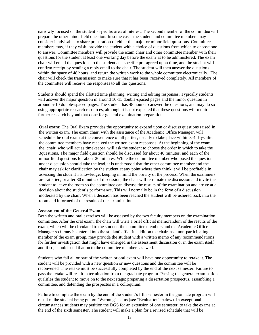narrowly focused on the student's specific area of interest. The second member of the committee will prepare the other minor field question. In some cases the student and committee members may consider it advisable to share preparation of either the major or minor field questions. Committee members may, if they wish, provide the student with a choice of questions from which to choose one to answer. Committee members will provide the exam chair and other committee member with their questions for the student at least one working day before the exam is to be administered. The exam chair will email the questions to the student at a specific pre-agreed upon time, and the student will confirm receipt by sending a reply email to the chair. The student will then answer the questions within the space of 48 hours, and return the written work to the whole committee electronically. The chair will check the transmission to make sure that it has been received completely. All members of the committee will receive the responses to all the questions.

Students should spend the allotted time planning, writing and editing responses. Typically students will answer the major question in around 10-15 double-spaced pages and the minor question in around 5-10 double-spaced pages. The student has 48 hours to answer the questions, and may do so using appropriate research resources, although it is not expected that these questions will require further research beyond that done for general examination preparation.

**Oral exam:** The Oral Exam provides the opportunity to expand upon or discuss questions raised in the written exam. The exam chair, with the assistance of the Academic Office Manager, will schedule the oral exam at the convenience of all parties, usually to take place within 3-4 days after the committee members have received the written exam responses. At the beginning of the exam the chair, who will act as timekeeper, will ask the student to choose the order in which to take the 3questions. The major field question should be discussed for about 40 minutes, and each of the minor field questions for about 20 minutes. While the committee member who posed the question under discussion should take the lead, it is understood that the other committee member and the chair may ask for clarification by the student at any point where they think it will be profitable in assessing the student's knowledge, keeping in mind the brevity of the process. When the examiners are satisfied, or after 80 minutes of discussion, the chair will terminate the discussion and invite the student to leave the room so the committee can discuss the results of the examination and arrive at a decision about the student's performance. This will normally be in the form of a discussion moderated by the chair. When a decision has been reached the student will be ushered back into the room and informed of the results of the examination.

#### **Assessment of the General Exam**

Both the written and oral exercises will be assessed by the two faculty members on the examination committee. After the oral exam, the chair will write a brief official memorandum of the results of the exam, which will be circulated to the student, the committee members and the Academic Office Manager so it may be entered into the student's file. In addition the chair, as a non-participating member of the exam group, may provide the student with a written memo of any recommendations for further investigation that might have emerged in the assessment discussion or in the exam itself and if so, should send that on to the committee members as well.

Students who fail all or part of the written or oral exam will have one opportunity to retake it. The student will be provided with a new question or new questions and the committee will be reconvened. The retake must be successfully completed by the end of the next semester. Failure to pass the retake will result in termination from the graduate program. Passing the general examination qualifies the student to move on to the next stage: preparing a dissertation prospectus, assembling a committee, and defending the prospectus in a colloquium.

Failure to complete the exam by the end of the student's fifth semester in the graduate program will result in the student being put on "Warning" status (see "Evaluation" below). In exceptional circumstances students may petition the DGS for an extension of one semester, to take the exams at the end of the sixth semester. The student will make a plan for a revised schedule that will be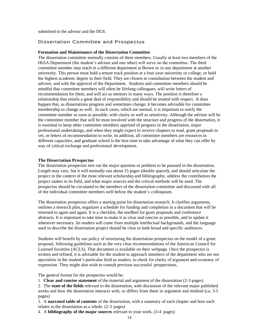submitted to the advisor and the DGS.

# Dissertation Committee and Prospectus

#### **Formation and Maintenance of the Dissertation Committee**

The dissertation committee normally consists of three members. Usually at least two members of the HIAA Department (the student's advisor and one other) will serve on the committee. The third committee member may teach in a different department at Brown or in any department at another university. This person must hold a tenure track position at a four-year university or college, or hold the highest academic degree in their field. They are chosen in consultation between the student and advisor, and with the approval of the Department. Students and committee members should be mindful that committee members will often be lifelong colleagues, will write letters of recommendation for them, and will act as mentors in many ways. The position is therefore a relationship that entails a great deal of responsibility and should be treated with respect. It does happen that, as dissertations progress and sometimes change, it becomes advisable for committee membership to change as well. In such cases, which are normal, it is important to notify the committee member as soon as possible, with clarity as well as sensitivity. Although the advisor will be the committee member that will be most involved with the structure and progress of the dissertation, it is essential to keep other committee members apprised of progress in the dissertation, major professional undertakings, and when they might expect to receive chapters to read, grant proposals to vet, or letters of recommendation to write. In addition, all committee members are resources in different capacities, and graduate school is the best time to take advantage of what they can offer by way of critical exchange and professional development.

#### **The Dissertation Prospectus**

The dissertation prospectus sets out the major question or problem to be pursued in the dissertation. Length may vary, but it will normally run about 15 pages (double spaced), and should articulate the project in the context of the most relevant scholarship and bibliography, address the contribution the project makes to its field, and what major sources and the critical methods will be used. The prospectus should be circulated to the members of the dissertation committee and discussed with all of the individual committee members well before the student's colloquium.

The dissertation prospectus offers a starting point for dissertation research. It clarifies arguments, outlines a research plan, organizes a schedule for funding and completion in a document that will be returned to again and again. It is a checklist, the seedbed for grant proposals and conference abstracts. It is important to take time to make it as clear and concise as possible, and to update it whenever necessary. Its readers will come from multiple intellectual backgrounds, and the language used to describe the dissertation project should be clear to both broad and specific audiences.

Students will benefit by our policy of structuring the dissertation prospectus on the model of a grant proposal, following guidelines such as the very clear recommendations of the American Council for Learned Societies (ACLS). That document is available on their webpage. Once the prospectus is written and refined, it is advisable for the student to approach members of the department who are not specialists in the student's particular field as readers, to check for clarity of argument and economy of expression. They might also wish to consult previous successful prospectuses.

The general format for the prospectus would be:

1. **Clear and concise statement** of the material and argument of the dissertation (2-3 pages)

2. The **state of the fields** relevant to the dissertation, with discussion of the relevant major published works and how the dissertation interacts with, or differs from them in argument and method (ca. 3-5 pages)

3. A **narrated table of contents** of the dissertation, with a summary of each chapter and how each relates to the dissertation as a whole. (2-3 pages)

4. A **bibliography of the major sources** relevant to your work. (3-4 pages)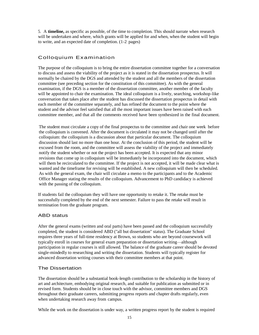5. A **timeline,** as specific as possible, of the time to completion. This should narrate when research will be undertaken and where, which grants will be applied for and when, when the student will begin to write, and an expected date of completion. (1-2 pages)

# Colloquium Examination

The purpose of the colloquium is to bring the entire dissertation committee together for a conversation to discuss and assess the viability of the project as it is stated in the dissertation prospectus. It will normally be chaired by the DGS and attended by the student and all the members of the dissertation committee (see preceding section for the constitution of this committee). As with the general examination, if the DGS is a member of the dissertation committee, another member of the faculty will be appointed to chair the examination. The ideal colloquium is a lively, searching, workshop-like conversation that takes place after the student has discussed the dissertation prospectus in detail with each member of the committee separately, and has refined the document to the point where the student and the advisor feel satisfied that all the most important issues have been raised with each committee member, and that all the comments received have been synthesized in the final document.

The student must circulate a copy of the final prospectus to the committee and chair one week before the colloquium is convened. After the document is circulated it may not be changed until after the colloquium: the colloquium is a discussion about that particular document. The colloquium discussion should last no more than one hour. At the conclusion of this period, the student will be excused from the room, and the committee will assess the viability of the project and immediately notify the student whether or not the project has been accepted. It is expected that any minor revisions that come up in colloquium will be immediately be incorporated into the document, which will them be recirculated to the committee. If the project is not accepted, it will be made clear what is wanted and the timeframe for revising will be established. A new colloquium will then be scheduled. As with the general exam, the chair will circulate a memo to the participants and to the Academic Office Manager stating the results of the colloquium. Advancement to PhD candidacy is achieved with the passing of the colloquium.

If students fail the colloquium they will have one opportunity to retake it. The retake must be successfully completed by the end of the next semester. Failure to pass the retake will result in termination from the graduate program.

# ABD status

After the general exams (written and oral parts) have been passed and the colloquium successfully completed, the student is considered ABD ("all but dissertation" status). The Graduate School requires three years of full-time residency at Brown, so students who are beyond coursework will typically enroll in courses for general exam preparation or dissertation writing—although participation in regular courses is still allowed. The balance of the graduate career should be devoted single-mindedly to researching and writing the dissertation. Students will typically register for advanced dissertation writing courses with their committee members at that point.

# The Dissertation

The dissertation should be a substantial book-length contribution to the scholarship in the history of art and architecture, embodying original research, and suitable for publication as submitted or in revised form. Students should be in close touch with the advisor, committee members and DGS throughout their graduate careers, submitting progress reports and chapter drafts regularly, even when undertaking research away from campus.

While the work on the dissertation is under way, a written progress report by the student is required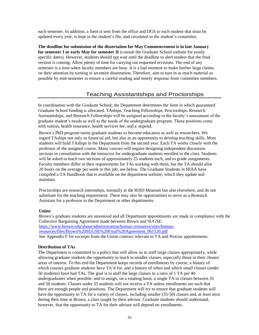each semester. In addition, a form is sent from the office and DGS to each student that must be updated every year, is kept in the student's file, and circulated to the student's committee.

**The deadline for submission of the dissertation for May Commencement is in late January for semester I or early May for semester II** (consult the Graduate School website for yearly specific dates). However, students should not wait until the deadline to alert readers that the final version is coming. Allow plenty of time for carrying out requested revisions. The end of any semester is a time when faculty members are busy. It is a bad moment to make further large claims on their attention by turning in an entire dissertation. Therefore, aim to turn in as much material as possible by mid-semester to ensure a careful reading and timely response from committee members.

# Teaching Assistantships and Proctorships

In coordination with the Graduate School, the Department determines the form in which guaranteed Graduate School funding is allocated. TAships, Teaching Fellowships, Proctorships, Research Assistantships, and Research Fellowships will be assigned according to the faculty's assessment of the graduate student's needs as well as the needs of the undergraduate program. These positions come with tuition, health insurance, health services fee, and a stipend.

Brown's PhD program trains graduate students to become educators as well as researchers. We regard TAships not only as financial aid, but also as an opportunity to develop teaching skills. Most students will hold TAships in the Department from the second year. Each TA works closely with the professor of the assigned course. Many courses will require designing independent discussion sections in consultation with the instructor for undergraduate students enrolled in the class. Students will be asked to teach two sections of approximately 25 students each, and to grade assignments. Faculty members differ in their requirements for TAs working with them, but the TA should allot 20 hours on the average per week to this job; see below. The Graduate Students in HIAA have compiled a TA Handbook that is available on the department website, which they update and maintain.

Proctorships are research internships, normally at the RISD Museum but also elsewhere, and do not substitute for the teaching requirement. There may also be opportunities to serve as a Research Assistant for a professor in the Department or other departments.

### **Union**

Brown's graduate students are unionized and all Department appointments are made in compliance with the Collective Bargaining Agreement made between Brown and SUGSE: [https://www.brown.edu/about/administration/human-resources/sites/human](https://www.brown.edu/about/administration/human-resources/sites/human-resources/files/Brown%20SUGSE%20Final%20Agreement_061520.pdf)[resources/files/Brown%20SUGSE%20Final%20Agreement\\_061520.pdf](https://www.brown.edu/about/administration/human-resources/sites/human-resources/files/Brown%20SUGSE%20Final%20Agreement_061520.pdf) See Appendix F for excerpts from the Union contract relevant to TA and Proctor appointments.

### **Distribution of TAs**

The Department is committed to a policy that will allow us to staff large classes appropriately, while allowing graduate students the opportunity to teach in smaller classes, especially those in their chosen areas of interest. To this end the Department keeps records of enrollments by course, a history of which courses graduate students have TA'd for, and a history of when and which small classes (under 50 students) have had TAs. The goal is to staff the large classes to a ratio of 1 TA per 40 undergraduates when possible, and to assign, on a rotating basis, a single TA to classes between 35 and 50 students. Classes under 35 students will not receive a TA unless enrollments are such that there are enough people and positions. The Department will *try* to ensure that graduate students will have the opportunity to TA for a variety of classes, including smaller (35-50) classes and, at least once during their time at Brown, a class taught by their advisor. Graduate students should understand, however, that the opportunity to TA for their advisor will depend on enrollments.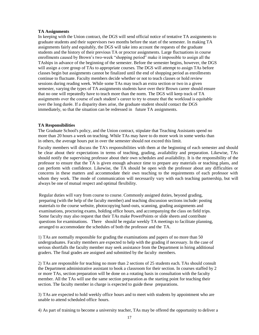### **TA Assignments**

In keeping with the Union contract, the DGS will send official notice of tentative TA assignments to graduate students and their supervisors two months before the start of the semester. In making TA assignments fairly and equitably, the DGS will take into account the requests of the graduate students and the history of their previous TA or proctor assignments. Large fluctuations in course enrollments caused by Brown's two-week "shopping period" make it impossible to assign all the TAships in advance of the beginning of the semester. Before the semester begins, however, the DGS will assign a core group of TAs to appropriate courses. The DGS will attempt to assign TAs before classes begin but assignments cannot be finalized until the end of shopping period as enrollments continue to fluctuate. Faculty members decide whether or not to teach classes or hold review sessions during reading week. While some TAs may teach an extra section or two in a given semester, varying the types of TA assignments students have over their Brown career should ensure that no one will repeatedly have to teach more than the norm. The DGS will keep track of TA assignments over the course of each student's career to try to ensure that the workload is equitable over the long durée. If a disparity does arise, the graduate student should contact the DGS immediately, so that the situation can be redressed in future TA assignments.

#### **TA Responsibilities**

The Graduate School's policy, and the Union contract, stipulate that Teaching Assistants spend no more than 20 hours a week on teaching. While TAs may have to do more work in some weeks than in others, the average hours put in over the semester should not exceed this limit.

Faculty members will discuss the TA's responsibilities with them at the beginning of each semester and should be clear about their expectations in terms of teaching, grading, availability and preparation. Likewise, TAs should notify the supervising professor about their own schedules and availability. It is the responsibility of the professor to ensure that the TA is given enough advance time to prepare any materials or teaching plans, and can perform with confidence. Likewise, the TA should be open with the professor about any difficulties or concerns in these matters and accommodate their own teaching to the requirements of each professor with whom they work. The mode of communication will necessarily vary with each teaching partnership, but will always be one of mutual respect and optimal flexibility.

Regular duties will vary from course to course. Commonly assigned duties, beyond grading, preparing (with the help of the faculty member) and teaching discussion sections include: posting materials to the course website, photocopying hand-outs, scanning, grading assignments and examinations, proctoring exams, holding office hours, and accompanying the class on field trips. Some faculty may also request that their TAs make PowerPoints or slide sheets and contribute questions for examinations. There should be regular weekly TA meetings to facilitate planning, arranged to accommodate the schedules of both the professor and the TA.

1) TAs are normally responsible for grading the examinations and papers of no more than 50 undergraduates. Faculty members are expected to help with the grading if necessary. In the case of serious shortfalls the faculty member may seek assistance from the Department in hiring additional graders. The final grades are assigned and submitted by the faculty members.

2) TAs are responsible for teaching no more than 2 sections of 25 students each. TAs should consult the Department administrative assistant to book a classroom for their section. In courses staffed by 2 or more TAs, section preparation will be done on a rotating basis in consultation with the faculty member. All the TAs will use the same section preparation as the starting point for teaching their section. The faculty member in charge is expected to guide these preparations.

3) TAs are expected to hold weekly office hours and to meet with students by appointment who are unable to attend scheduled office hours.

4) As part of training to become a university teacher, TAs may be offered the opportunity to deliver a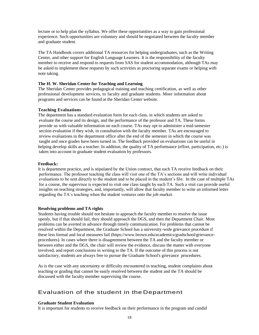lecture or to help plan the syllabus. We offer these opportunities as a way to gain professional experience. Such opportunities are voluntary and should be negotiated between the faculty member and graduate student.

The TA Handbook covers additional TA resources for helping undergraduates, such as the Writing Center, and other support for English Language Learners. It is the responsibility of the faculty member to receive and respond to requests from SAS for student accommodation, although TAs may be asked to implement these requests by such activities as proctoring separate exams or helping with note taking.

# **The H. W. Sheridan Center for Teaching and Learning**

The Sheridan Center provides pedagogical training and teaching certification, as well as other professional development services, to faculty and graduate students. More information about programs and services can be found at the Sheridan Center website.

# **Teaching Evaluations**

The department has a standard evaluation form for each class, in which students are asked to evaluate the course and its design, and the performance of the professor and TA. These forms provide us with valuable information on each course. TAs may opt to administer a mid-semester section evaluation if they wish, in consultation with the faculty member. TAs are encouraged to review evaluations in the department office after the end of the semester in which the course was taught and once grades have been turned in. The feedback provided on evaluations can be useful in helping develop skills as a teacher. In addition, the quality of TA performance (effort, participation, etc.) is taken into account in graduate student evaluation by professors.

# **Feedback:**

It is department practice, and is stipulated by the Union contract, that each TA receive feedback on their performance. The professor teaching the class will visit one of the TA's sections and will write individual evaluations to be sent directly to the student and to be placed in the student's file. In the case of multiple TAs for a course, the supervisor is expected to visit one class taught by each TA. Such a visit can provide useful insights on teaching strategies, and, importantly, will allow that faculty member to write an informed letter regarding the TA's teaching when the student ventures onto the job market.

# **Resolving problems and TA rights**

Students having trouble should not hesitate to approach the faculty member to resolve the issue openly, but if that should fail, they should approach the DGS, and then the Department Chair. Most problems can be averted in advance through timely communication. For problems that cannot be resolved within the Department, the Graduate School has a university-wide grievance procedure if these less formal and local measures fail (https[://www.brown.edu/academics/gradschool/grievance](http://www.brown.edu/academics/gradschool/grievance-)procedures). In cases where there is disagreement between the TA and the faculty member or between either and the DGS, the chair will review the evidence, discuss the matter with everyone involved, and report conclusions in writing to the TA. If the outcome of this process is not satisfactory, students are always free to pursue the Graduate School's grievance procedures.

As is the case with any uncertainty or difficulty encountered in teaching, student complaints about teaching or grading that cannot be easily resolved between the student and the TA should be discussed with the faculty member supervising the course.

# Evaluation of the student in the Department

### **Graduate Student Evaluation**

It is important for students to receive feedback on their performance in the program and candid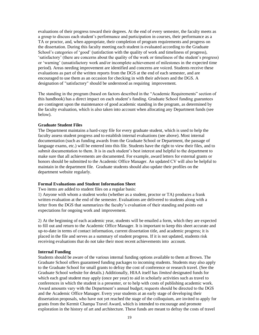evaluations of their progress toward their degrees. At the end of every semester, the faculty meets as a group to discuss each student's performance and participation in courses, their performance as a TA or proctor, and, when appropriate, their completion of program requirements and progress on the dissertation. During this faculty meeting each student is evaluated according to the Graduate School's categories of 'good' (satisfaction with the quality of work and timeliness of progress), 'satisfactory' (there are concerns about the quality of the work or timeliness of the student's progress) or 'warning' (unsatisfactory work and/or incomplete achievement of milestones in the expected time period). Areas needing improvement are identified and concerns are voiced. Students receive these evaluations as part of the written reports from the DGS at the end of each semester, and are encouraged to use them as an occasion for checking in with their advisors and the DGS. A designation of "satisfactory" should be understood as requiring improvement.

The standing in the program (based on factors described in the "Academic Requirements" section of this handbook) has a direct impact on each student's funding. Graduate School funding guarantees are contingent upon the maintenance of good academic standing in the program, as determined by the faculty evaluation, which is also taken into account when allocating any Department funds (see below).

#### **Graduate Student Files**

The Department maintains a hard-copy file for every graduate student, which is used to help the faculty assess student progress and to establish internal evaluations (see above). Most internal documentation (such as funding awards from the Graduate School or Department, the passage of language exams, etc.) will be entered into this file. Students have the right to view their files, and to submit documentation to them. It is in each student's best interest and helpful to the department to make sure that all achievements are documented. For example, award letters for external grants or honors should be submitted to the Academic Office Manager. An updated CV will also be helpful to maintain in the department file. Graduate students should also update their profiles on the department website regularly.

#### **Formal Evaluations and Student Information Sheet**

Two items are added to student files on a regular basis:

1) Anyone with whom a student works (whether as a student, proctor or TA) produces a frank written evaluation at the end of the semester. Evaluations are delivered to students along with a letter from the DGS that summarizes the faculty's evaluation of their standing and points out expectations for ongoing work and improvement.

2) At the beginning of each academic year, students will be emailed a form, which they are expected to fill out and return to the Academic Office Manager. It is important to keep this sheet accurate and up-to-date in terms of contact information, current dissertation title, and academic progress; it is placed in the file and serves as a summary of student progress. If it is not updated, students risk receiving evaluations that do not take their most recent achievements into account.

#### **Internal Funding**

Students should be aware of the various internal funding options available to them at Brown. The Graduate School offers guaranteed funding packages to incoming students. Students may also apply to the Graduate School for small grants to defray the cost of conference or research travel. (See the Graduate School website for details.) Additionally, HIAA itself has *limited* designated funds for which each grad student may apply (once per year) to aid in scholarly activities such as travel to conferences in which the student is a presenter, or to help with costs of publishing academic work. Award amounts vary with the Department's annual budget; requests should be directed to the DGS and the Academic Office Manager. Every year students at an early stage of developing their dissertation proposals, who have not yet reached the stage of the colloquium, are invited to apply for grants from the Kermit Champa Travel Award, which is intended to encourage and promote exploration in the history of art and architecture. These funds are meant to defray the costs of travel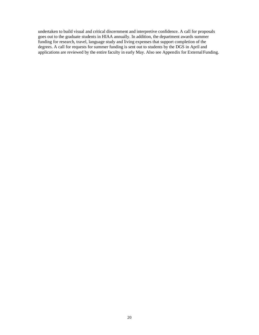undertaken to build visual and critical discernment and interpretive confidence. A call for proposals goes out to the graduate students in HIAA annually. In addition, the department awards summer funding for research, travel, language study and living expenses that support completion of the degrees. A call for requests for summer funding is sent out to students by the DGS in April and applications are reviewed by the entire faculty in early May. Also see Appendix for ExternalFunding.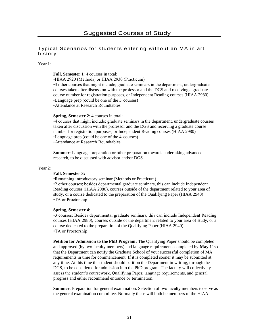# Typical Scenarios for students entering without an MA in art history

#### Year 1:

#### **Fall, Semester 1**: 4 courses in total:

•HIAA 2920 (Methods) or HIAA 2930 (Practicum)

•3 other courses that might include; graduate seminars in the department, undergraduate courses taken after discussion with the professor and the DGS and receiving a graduate course number for registration purposes, or Independent Reading courses (HIAA 2980) •Language prep (could be one of the 3 courses) •Attendance at Research Roundtables

#### **Spring, Semester 2**: 4 courses in total:

•4 courses that might include: graduate seminars in the department, undergraduate courses taken after discussion with the professor and the DGS and receiving a graduate course number for registration purposes, or Independent Reading courses (HIAA 2980) •Language prep (could be one of the 4 courses) •Attendance at Research Roundtables

**Summer**: Language preparation or other preparation towards undertaking advanced research, to be discussed with advisor and/or DGS

#### Year 2:

# **Fall, Semester 3:**

•Remaining introductory seminar (Methods or Practicum) •2 other courses; besides departmental graduate seminars, this can include Independent Reading courses (HIAA 2980**)**, courses outside of the department related to your area of study, or a course dedicated to the preparation of the Qualifying Paper (HIAA 2940) •TA or Proctorship

#### **Spring, Semester 4**:

•3 courses: Besides departmental graduate seminars, this can include Independent Reading courses (HIAA 2980), courses outside of the department related to your area of study, or a course dedicated to the preparation of the Qualifying Paper (HIAA 2940) •TA or Proctorship

**Petition for Admission to the PhD Program:** The Qualifying Paper should be completed and approved (by two faculty members) and language requirements completed by May 1<sup>*x*</sup> so that the Department can notify the Graduate School of your successful completion of MA requirements in time for commencement. If it is completed sooner it may be submitted at any time. At this time the student should petition the Department in writing, through the DGS, to be considered for admission into the PhD program. The faculty will collectively assess the student's coursework, Qualifying Paper, language requirements, and general progress and either recommend entrance or termination.

**Summer:** Preparation for general examination. Selection of two faculty members to serve as the general examination committee. Normally these will both be members of the HIAA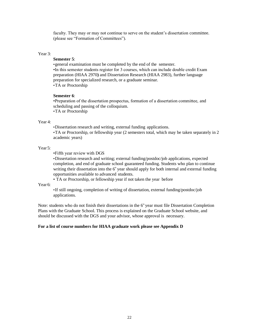faculty. They may or may not continue to serve on the student's dissertation committee. (please see "Formation of Committees").

#### Year 3:

# **Semester 5**:

•general examination must be completed by the end of the semester. •In this semester students register for 3 courses, which can include double credit Exam preparation (HIAA 2970**)** and Dissertation Research (HIAA 2983), further language preparation for specialized research, or a graduate seminar. •TA or Proctorship

#### **Semester 6**:

•Preparation of the dissertation prospectus, formation of a dissertation committee, and scheduling and passing of the colloquium. •TA or Proctorship

#### Year 4:

•Dissertation research and writing, external funding applications.

•TA or Proctorship, or fellowship year (2 semesters total, which may be taken separately in 2 academic years)

#### Year 5:

•Fifth year review with DGS

•Dissertation research and writing; external funding/postdoc/job applications, expected completion, and end of graduate school guaranteed funding. Students who plan to continue writing their dissertation into the  $6<sup>n</sup>$  year should apply for both internal and external funding opportunities available to advanced students.

• TA or Proctorship, or fellowship year if not taken the year before

Year 6:

•If still ongoing, completion of writing of dissertation, external funding/postdoc/job applications.

Note: students who do not finish their dissertations in the  $6<sup>th</sup>$  year must file Dissertation Completion Plans with the Graduate School. This process is explained on the Graduate School website, and should be discussed with the DGS and your advisor, whose approval is necessary.

#### **For a list of course numbers for HIAA graduate work please see Appendix D**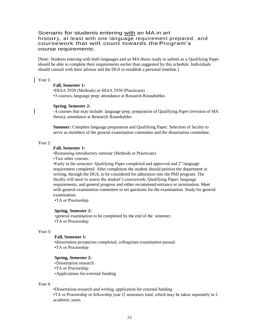# Scenario for students entering with an MA in art history, at least with one language requirement prepared , and coursework that will count towards the Program's course requirements:

[Note: Students entering with both languages and an MA thesis ready to submit as a Qualifying Paper should be able to complete their requirements earlier than suggested by this schedule. Individuals should consult with their advisor and the DGS to establish a personal timeline.]

Year 1:

#### **Fall, Semester 1:**

•HIAA 2920 (Methods) or HIAA 2930 (Practicum) •3 courses, language prep; attendance at Research Roundtables

#### **Spring, Semester 2:**

•4 courses that may include: language prep; preparation of Qualifying Paper (revision of MA thesis); attendance at Research Roundtables

**Summer:** Complete language preparation and Qualifying Paper. Selection of faculty to serve as members of the general examination committee and the dissertation committee.

#### Year 2:

# **Fall, Semester 1:**

•Remaining introductory seminar (Methods or Practicum) •Two other courses.

•Early in the semester: Qualifying Paper completed and approved and  $2<sup>nd</sup>$  language requirement completed. After completion the student should petition the department in writing, through the DGS, to be considered for admission into the PhD program. The faculty will meet to assess the student's coursework, Qualifying Paper, language requirements, and general progress and either recommend entrance or termination. Meet with general examination committee to set questions for the examination. Study for general examination.

•TA or Proctorship

#### **Spring, Semester 2:**

•general examination to be completed by the end of the semester. •TA or Proctorship

#### Year 3:

# **Fall, Semester 1:**

•dissertation prospectus completed, colloquium examination passed. •TA or Proctorship

#### **Spring, Semester 2:**

- •Dissertation research
- •TA or Proctorship

•Applications for external funding

#### Year 4:

•Dissertation research and writing, application for external funding

•TA or Proctorship or fellowship year (2 semesters total, which may be taken separately in 2 academic years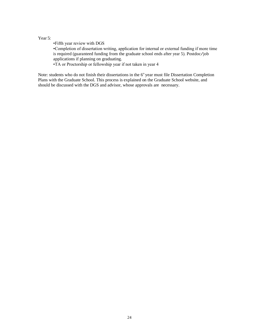# Year 5:

•Fifth year review with DGS •Completion of dissertation writing, application for internal or external funding if more time is required (guaranteed funding from the graduate school ends after year 5). Postdoc/job applications if planning on graduating. •TA or Proctorship or fellowship year if not taken in year 4

Note: students who do not finish their dissertations in the  $6<sup>th</sup>$  year must file Dissertation Completion Plans with the Graduate School. This process is explained on the Graduate School website, and should be discussed with the DGS and advisor, whose approvals are necessary.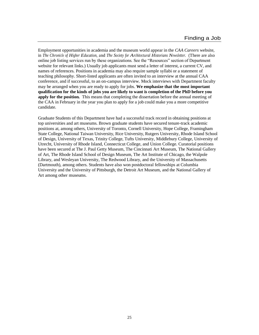Employment opportunities in academia and the museum world appear in the *CAA Careers* website, in *The Chronicle of Higher Education*, and *The Society for Architectural Historians Newsletter*. (There are also online job listing services run by these organizations. See the "Resources" section of Department website for relevant links.) Usually job applicants must send a letter of interest, a current CV, and names of references. Positions in academia may also require sample syllabi or a statement of teaching philosophy. Short-listed applicants are often invited to an interview at the annual CAA conference, and if successful, to an on-campus interview. Mock interviews with Department faculty may be arranged when you are ready to apply for jobs. **We emphasize that the most important qualification for the kinds of jobs you are likely to want is completion of the PhD before you apply for the position.** This means that completing the dissertation before the annual meeting of the CAA in February in the year you plan to apply for a job could make you a more competitive candidate.

Graduate Students of this Department have had a successful track record in obtaining positions at top universities and art museums. Brown graduate students have secured tenure-track academic positions at, among others, University of Toronto, Cornell University, Hope College, Framingham State College, National Taiwan University, Rice University, Rutgers University, Rhode Island School of Design, University of Texas, Trinity College, Tufts University, Middlebury College, University of Utrecht, University of Rhode Island, Connecticut College, and Union College. Curatorial positions have been secured at The J. Paul Getty Museum, The Cincinnati Art Museum, The National Gallery of Art, The Rhode Island School of Design Museum, The Art Institute of Chicago, the Walpole Library, and Wesleyan University, The Redwood Library, and the University of Massachusetts (Dartmouth), among others. Students have also won postdoctoral fellowships at Columbia University and the University of Pittsburgh, the Detroit Art Museum, and the National Gallery of Art among other museums.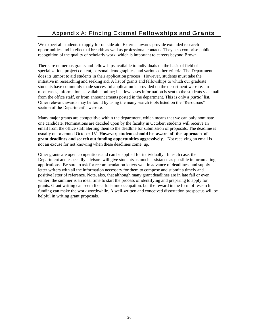We expect all students to apply for outside aid. External awards provide extended research opportunities and intellectual breadth as well as professional contacts. They also comprise public recognition of the quality of scholarly work, which is important to careers beyond Brown.

There are numerous grants and fellowships available to individuals on the basis of field of specialization, project content, personal demographics, and various other criteria. The Department does its utmost to aid students in their application process. However, students must take the initiative in researching and seeking aid. A list of grants and fellowships to which our graduate students have commonly made successful application is provided on the department website. In most cases, information is available online; in a few cases information is sent to the students via email from the office staff, or from announcements posted in the department. This is only a *partial* list. Other relevant awards may be found by using the many search tools listed on the "Resources" section of the Department's website.

Many major grants are competitive within the department, which means that we can only nominate one candidate. Nominations are decided upon by the faculty in October; students will receive an email from the office staff alerting them to the deadline for submission of proposals. The deadline is usually on or around October  $15<sup>th</sup>$ . **However, students should be aware of the approach of grant deadlines and search out funding opportunities aggressively**. Not receiving an email is not an excuse for not knowing when these deadlines come up.

Other grants are open competitions and can be applied for individually. In each case, the Department and especially advisors will give students as much assistance as possible in formulating applications. Be sure to ask for recommendation letters well in advance of deadlines, and supply letter writers with all the information necessary for them to compose and submit a timely and positive letter of reference. Note, also, that although many grant deadlines are in late fall or even winter, the summer is an ideal time to start the process of identifying and preparing to apply for grants. Grant writing can seem like a full-time occupation, but the reward in the form of research funding can make the work worthwhile. A well-written and conceived dissertation prospectus will be helpful in writing grant proposals.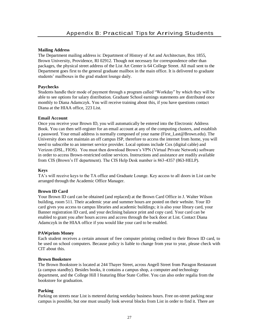# **Mailing Address**

The Department mailing address is: Department of History of Art and Architecture, Box 1855, Brown University, Providence, RI 02912. Though not necessary for correspondence other than packages, the physical street address of the List Art Center is 64 College Street. All mail sent to the Department goes first to the general graduate mailbox in the main office. It is delivered to graduate students' mailboxes in the grad student lounge daily.

# **Paychecks**

Students handle their mode of payment through a program called "Workday" by which they will be able to see options for salary distribution. Graduate School earnings statements are distributed once monthly to Diana Adamczyk. You will receive training about this, if you have questions contact Diana at the HIAA office, 223 List.

# **Email Account**

Once you receive your Brown ID, you will automatically be entered into the Electronic Address Book. You can then self-register for an email account at any of the computing clusters, and establish a password. Your email address is normally composed of your name (First\_Last@Brown.edu). The University does not maintain an off campus ISP, therefore to access the internet from home, you will need to subscribe to an internet service provider. Local options include Cox (digital cable) and Verizon (DSL, FIOS). You must then download Brown's VPN (Virtual Private Network) software in order to access Brown-restricted online services. Instructions and assistance are readily available from CIS (Brown's IT department). The CIS Help Desk number is 863-4357 (863-HELP).

### **Keys**

TA's will receive keys to the TA office and Graduate Lounge. Key access to all doors in List can be arranged through the Academic Office Manager.

## **Brown ID Card**

Your Brown ID card can be obtained (and replaced) at the Brown Card Office in J. Walter Wilson building, room 511. Their academic year and summer hours are posted on their website. Your ID card gives you access to campus libraries and academic buildings; it is also your library card, your Banner registration ID card, and your declining balance print and copy card. Your card can be enabled to grant you after hours access and access through the back door at List. Contact Diana Adamczyk in the HIAA office if you would like your card to be enabled.

### **PAWprints Money**

Each student receives a certain amount of free computer printing credited to their Brown ID card, to be used on school computers. Because policy is liable to change from year to year, please check with CIT about this.

### **Brown Bookstore**

The Brown Bookstore is located at 244 Thayer Street, across Angell Street from Paragon Restaurant (a campus standby). Besides books, it contains a campus shop, a computer and technology department, and the College Hill I featuring Blue State Coffee. You can also order regalia from the bookstore for graduation.

# **Parking**

Parking on streets near List is metered during weekday business hours. Free on-street parking near campus is possible, but one must usually look several blocks from List in order to find it. There are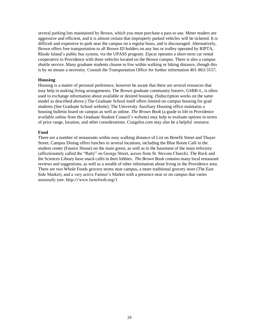several parking lots maintained by Brown, which you must purchase a pass to use. Meter readers are aggressive and efficient, and it is almost certain that improperly parked vehicles will be ticketed. It is difficult and expensive to park near the campus on a regular basis, and is discouraged. Alternatively, Brown offers free transportation to all Brown ID holders on any bus or trolley operated by RIPTA, Rhode Island's public bus system, via the UPASS program. Zipcar operates a short-term car rental cooperative in Providence with three vehicles located on the Brown campus. There is also a campus shuttle service. Many graduate students choose to live within walking or biking distance, though this is by no means a necessity. Consult the Transportation Office for further information 401-863-3157**.**

#### **Housing**

Housing is a matter of personal preference, however be aware that there are several resources that may help in making living arrangements. The Brown graduate community listserv, GSBB-L, is often used to exchange information about available or desired housing. (Subscription works on the same model as described above.) The Graduate School itself offers limited on-campus housing for grad students (See Graduate School website). The University Auxiliary Housing office maintains a housing bulletin board on campus as well as online. *The Brown Book* (a guide to life in Providence available online from the Graduate Student Council's website) may help to evaluate options in terms of price range, location, and other considerations. Craigslist.com may also be a helpful resource.

#### **Food**

There are a number of restaurants within easy walking distance of List on Benefit Street and Thayer Street. Campus Dining offers lunches in several locations, including the Blue Room Café in the student center (Faunce House) on the main green, as well as in the basement of the main refectory (affectionately called the "Ratty" on George Street, across from St. Stevens Church). The Rock and the Sciences Library have snack cafés in their lobbies. *The Brown Book* contains many local restaurant reviews and suggestions, as well as a wealth of other information about living in the Providence area. There are two Whole Foods grocery stores near campus, a more traditional grocery store (The East Side Market), and a very active Farmer's Market with a presence near or on campus that varies seasonally (see: [http://www.farmfresh.org/\)](http://www.farmfresh.org/))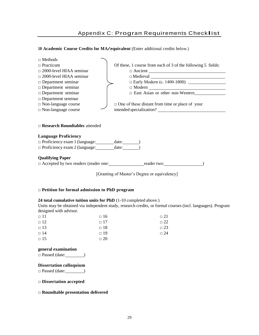# Appendix C: Program Requirements Checklist

# **<sup>10</sup> Academic Course Credits for MA/equivalent** (Enter additional credits below.)

| $\Box$ Methods                                              |                                                              |  |  |
|-------------------------------------------------------------|--------------------------------------------------------------|--|--|
| $\Box$ Practicum                                            | Of these, 1 course from each of 3 of the following 5 fields: |  |  |
| $\Box$ 2000-level HIAA seminar                              |                                                              |  |  |
| $\Box$ 2000-level HIAA seminar                              |                                                              |  |  |
| $\Box$ Department seminar                                   |                                                              |  |  |
| $\Box$ Department seminar                                   | $\Box \text{ Modern } \underline{\hspace{2cm}}$              |  |  |
| $\Box$ Department seminar                                   |                                                              |  |  |
| $\Box$ Department seminar                                   |                                                              |  |  |
| $\Box$ Non-language course                                  | $\Box$ One of these distant from time or place of your       |  |  |
| $\Box$ Non-language course                                  | intended specialization?                                     |  |  |
| $\Box$ Research Roundtables attended                        |                                                              |  |  |
| <b>Language Proficiency</b>                                 |                                                              |  |  |
| □ Proficiency exam 1 (language: __________ date: _________) |                                                              |  |  |
| $\Box$ Proficiency exam 2 (language: $\Box$ date:           |                                                              |  |  |
| <b>Qualifying Paper</b>                                     |                                                              |  |  |
|                                                             |                                                              |  |  |
|                                                             | [Granting of Master's Degree or equivalency]                 |  |  |

# □ **Petition for formal admission to PhD program**

### **24 total cumulative tuition units for PhD** (1-10 completed above.)

Units may be obtained via independent study, research credits, or formal courses (incl. languages). Program designed with advisor.

| $\Box$ 11 | $\Box$ 16 | $\Box$ 21 |
|-----------|-----------|-----------|
| $\Box$ 12 | $\Box$ 17 | $\Box$ 22 |
| $\Box$ 13 | $\Box$ 18 | $\Box$ 23 |
| $\Box$ 14 | $\Box$ 19 | $\Box$ 24 |
| $\Box$ 15 | $\Box$ 20 |           |

# **general examination**

 $\Box$  Passed (date:  $\Box$ )

# **Dissertation colloquium**

 $\square$  Passed (date: )

# □ **Dissertation accepted**

## □ **Roundtable presentation delivered**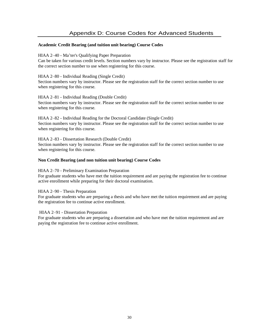# **Academic Credit Bearing (and tuition unit bearing) Course Codes**

# HIAA 2–40 - Ma'ter's Qualifying Paper Preparation

Can be taken for various credit levels. Section numbers vary by instructor. Please see the registration staff for the correct section number to use when registering for this course.

# HIAA 2–80 - Individual Reading (Single Credit)

Section numbers vary by instructor. Please see the registration staff for the correct section number to use when registering for this course.

# HIAA 2–81 - Individual Reading (Double Credit)

Section numbers vary by instructor. Please see the registration staff for the correct section number to use when registering for this course.

HIAA 2–82 - Individual Reading for the Doctoral Candidate (Single Credit) Section numbers vary by instructor. Please see the registration staff for the correct section number to use when registering for this course.

HIAA 2–83 - Dissertation Research (Double Credit) Section numbers vary by instructor. Please see the registration staff for the correct section number to use when registering for this course.

# **Non Credit Bearing (and non tuition unit bearing) Course Codes**

### HIAA 2–70 - Preliminary Examination Preparation

For graduate students who have met the tuition requirement and are paying the registration fee to continue active enrollment while preparing for their doctoral examination.

### HIAA 2–90 - Thesis Preparation

For graduate students who are preparing a thesis and who have met the tuition requirement and are paying the registration fee to continue active enrollment.

### HIAA 2–91 - Dissertation Preparation

For graduate students who are preparing a dissertation and who have met the tuition requirement and are paying the registration fee to continue active enrollment.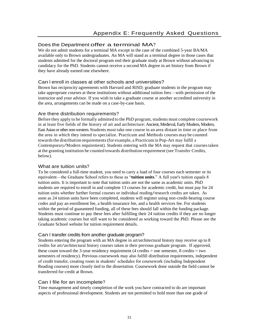# Does the Department offer a terminal MA?

We do not admit students for a terminal MA except in the case of the combined 5-year BA/MA available only to Brown undergraduates. An MA will stand as a terminal degree in those cases that students admitted for the doctoral program end their graduate study at Brown without advancing to candidacy for the PhD. Students cannot receive a second MA degree in art history from Brown if they have already earned one elsewhere.

# Can I enroll in classes at other schools and universities?

Brown has reciprocity agreements with Harvard and RISD; graduate students in the program may take appropriate courses at these institutions without additional tuition fees—with permission of the instructor and your advisor. If you wish to take a graduate course at another accredited university in the area, arrangements can be made on a case-by-case basis.

# Are there distribution requirements?

Before they apply to be formally admitted to the PhD program, students must complete coursework in at least five fields of the history of art and architecture: Ancient, Medieval, Early Modern, Modern, East Asian or other non-western. Students must take one course in an area distant in time or place from the area in which they intend to specialize. Practicum and Methods courses may be counted towards the distribution requirements (for example, a Practicum in Pop-Art may fulfill a Contemporary/Modern requirement). Students entering with the MA may request that courses taken at the granting institution be counted towards distribution requirement (see Transfer Credits, below).

# What are tuition units?

To be considered a full-time student, you need to carry a load of four courses each semester or its equivalent—the Graduate School refers to these as "**tuition units**." A full year's tuition equals 8 tuition units. It is important to note that tuition units are not the same as academic units. PhD students are required to enroll in and complete 13 courses for academic credit, but must pay for 24 tuition units whether further formal courses or individual reading/research credits are taken. As soon as 24 tuition units have been completed, students will register using non-credit-bearing course codes and pay an enrollment fee, a health insurance fee, and a health services fee. For students within the period of guaranteed funding, all of these fees should fall within the funding package. Students must continue to pay these fees after fulfilling their 24 tuition credits if they are no longer taking academic courses but still want to be considered as working toward the PhD. Please see the Graduate School website for tuition requirement details.

# Can I transfer credits from another graduate program?

Students entering the program with an MA degree in art/architectural history may receive up to 8 credits for art/architectural history courses taken in their previous graduate program. If approved, these count toward the 3-year residency requirement (4 credits = one semester, 8 credits = two semesters of residency). Previous coursework may also fulfill distribution requirements, independent of credit transfer, creating room in students' schedules for coursework (including Independent Reading courses) more closely tied to the dissertation. Coursework done outside the field cannot be transferred for credit at Brown.

# Can I file for an incomplete?

Time management and timely completion of the work you have contracted to do are important aspects of professional development. Students are not permitted to hold more than one grade of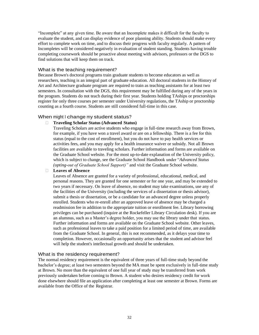"Incomplete" at any given time. Be aware that an Incomplete makes it difficult for the faculty to evaluate the student, and can display evidence of poor planning ability. Students should make every effort to complete work on time, and to discuss their progress with faculty regularly. A pattern of Incompletes will be considered negatively in evaluation of student standing. Students having trouble completing coursework should be proactive about meeting with advisors, professors or the DGS to find solutions that will keep them on track.

# What is the teaching requirement?

Because Brown's doctoral programs train graduate students to become educators as well as researchers, teaching is an integral part of graduate education. All doctoral students in the History of Art and Architecture graduate program are required to train as teaching assistants for at least two semesters. In consultation with the DGS, this requirement may be fulfilled during any of the years in the program. Students do not teach during their first year. Students holding TAships or proctorships register for only three courses per semester under University regulations, the TAship or proctorship counting as a fourth course. Students are still considered full-time in this case.

# When might I change my student status?

### **Traveling Scholar Status (Advanced Status)**

Traveling Scholars are active students who engage in full-time research away from Brown, for example, if you have won a travel award or are on a fellowship. There is a fee for this status (equal to the cost of enrollment), but you do not have to pay health services or activities fees, and you may apply for a health insurance waiver or subsidy. Not all Brown facilities are available to traveling scholars. Further information and forms are available on the Graduate School website. For the most up-to-date explanation of the University policy, which is subject to change, see the Graduate School Handbook under "*Advanced Status (opting-out of Graduate School Support)"* and visit the Graduate School website.

# **Leaves of Absence**

Leaves of Absence are granted for a variety of professional, educational, medical, and personal reasons. They are granted for one semester or for one year, and may be extended to two years if necessary. On leave of absence, no student may take examinations, use any of the facilities of the University (including the services of a dissertation or thesis advisor), submit a thesis or dissertation, or be a candidate for an advanced degree unless properly enrolled. Students who re-enroll after an approved leave of absence may be charged a readmission fee in addition to the appropriate tuition or enrollment fee. Library borrowing privileges can be purchased (inquire at the Rockefeller Library Circulation desk). If you are an alumnus, such as a Master's degree holder, you may use the library under that status. Further information and forms are available on the Graduate School website. Other leaves, such as professional leaves to take a paid position for a limited period of time, are available from the Graduate School. In general, this is not recommended, as it delays your time to completion. However, occasionally an opportunity arises that the student and advisor feel will help the student's intellectual growth and should be undertaken.

# What is the residency requirement?

The normal residency requirement is the equivalent of three years of full-time study beyond the bachelor's degree; at least two semesters beyond the MA must be spent exclusively in full-time study at Brown. No more than the equivalent of one full year of study may be transferred from work previously undertaken before coming to Brown. A student who desires residency credit for work done elsewhere should file an application after completing at least one semester at Brown. Forms are available from the Office of the Registrar.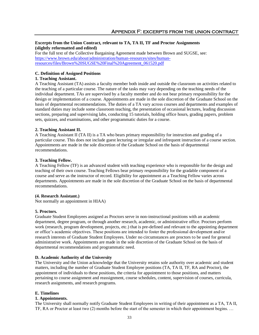# **Excerpts from the Union Contract, relevant to TA, TA II, TF and Proctor Assignments (slightly reformatted and edited)**

For the full text of the Collective Bargaining Agreement made between Brown and SUGSE, see: [https://www.brown.edu/about/administration/human-resources/sites/human](https://www.brown.edu/about/administration/human-resources/sites/human-resources/files/Brown%20SUGSE%20Final%20Agreement_061520.pdf)[resources/files/Brown%20SUGSE%20Final%20Agreement\\_061520.pdf](https://www.brown.edu/about/administration/human-resources/sites/human-resources/files/Brown%20SUGSE%20Final%20Agreement_061520.pdf)

# **C. Definition of Assigned Positions**

# **1. Teaching Assistant.**

A Teaching Assistant (TA) assists a faculty member both inside and outside the classroom on activities related to the teaching of a particular course. The nature of the tasks may vary depending on the teaching needs of the individual department. TAs are supervised by a faculty member and do not bear primary responsibility for the design or implementation of a course. Appointments are made in the sole discretion of the Graduate School on the basis of departmental recommendations. The duties of a TA vary across courses and departments and examples of standard duties may include some classroom teaching, the presentation of occasional lectures, leading discussion sections, preparing and supervising labs, conducting 15 tutorials, holding office hours, grading papers, problem sets, quizzes, and examinations, and other programmatic duties for a course.

# **2. Teaching Assistant II.**

A Teaching Assistant II (TA II) is a TA who bears primary responsibility for instruction and grading of a particular course. This does not include guest lecturing or irregular and infrequent instruction of a course section. Appointments are made in the sole discretion of the Graduate School on the basis of departmental recommendations.

### **3. Teaching Fellow.**

A Teaching Fellow (TF) is an advanced student with teaching experience who is responsible for the design and teaching of their own course. Teaching Fellows bear primary responsibility for the gradable component of a course and serve as the instructor of record. Eligibility for appointment as a Teaching Fellow varies across departments. Appointments are made in the sole discretion of the Graduate School on the basis of departmental recommendations.

### **(4. Research Assistant.)**

Not normally an appointment in HIAA)

# **5. Proctors.**

Graduate Student Employees assigned as Proctors serve in non-instructional positions with an academic department, degree program, or through another research, academic, or administrative office. Proctors perform work (research, program development, projects, etc.) that is pre-defined and relevant to the appointing department or office's academic objectives. These positions are intended to foster the professional development and/or research interests of Graduate Student Employees. Under no circumstances are proctors to be used for general administrative work. Appointments are made in the sole discretion of the Graduate School on the basis of departmental recommendations and programmatic need.

# **D. Academic Authority of the University**

The University and the Union acknowledge that the University retains sole authority over academic and student matters, including the number of Graduate Student Employee positions (TA, TA II, TF, RA and Proctor), the appointment of individuals to these positions, the criteria for appointment to those positions, and matters pertaining to course assignment and reassignment, course schedules, content, supervision of courses, curricula, research assignments, and research programs.

### **E. Timelines**

### **1. Appointments.**

The University shall normally notify Graduate Student Employees in writing of their appointment as a TA, TA II, TF, RA or Proctor at least two (2) months before the start of the semester in which their appointment begins. …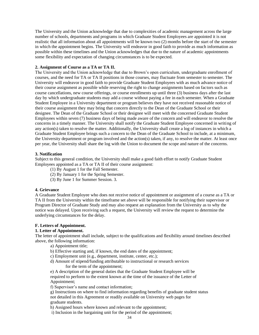The University and the Union acknowledge that due to complexities of academic management across the large number of schools, departments and programs in which Graduate Student Employees are appointed it is not realistic that all information about all appointments will be known two (2) months before the start of the semester in which the appointment begins. The University will endeavor in good faith to provide as much information as possible within these timelines and the Union acknowledges that due to the nature of academic appointments some flexibility and expectation of changing circumstances is to be expected.

### **2. Assignment of Course as a TA or TA II.**

The University and the Union acknowledge that due to Brown's open curriculum, undergraduate enrollment of courses, and the need for TA or TA II positions in those courses, may fluctuate from semester to semester. The University will endeavor in good faith to provide Graduate Student Employees with as much advance notice of their course assignment as possible while reserving the right to change assignments based on factors such as course cancellations, new course offerings, or course enrollments up until three (3) business days after the last day by which undergraduate students may add a course without paying a fee in each semester. When a Graduate Student Employee in a University department or program believes they have not received reasonable notice of their course assignment they may bring that concern directly to the Dean of the Graduate School or their designee. The Dean of the Graduate School or their designee will meet with the concerned Graduate Student Employees within seven (7) business days of being made aware of the concern and will endeavor to resolve the concerns in a timely manner. The University shall notify the Graduate Student Employee concerned in writing of any action(s) taken to resolve the matter. Additionally, the University shall create a log of instances in which a Graduate Student Employee brings such a concern to the Dean of the Graduate School to include, at a minimum, the University department or program involved and the action(s) taken, if any, to resolve the matter. At least once per year, the University shall share the log with the Union to document the scope and nature of the concerns.

# **3. Notification**

Subject to this general condition, the University shall make a good faith effort to notify Graduate Student Employees appointed as a TA or TA II of their course assignment:

- (1) By August 1 for the Fall Semester.
- (2) By January 1 for the Spring Semester.
- (3) By June 1 for Summer Session. 3.

### **4. Grievance**

A Graduate Student Employee who does not receive notice of appointment or assignment of a course as a TA or TA II from the University within the timeframe set above will be responsible for notifying their supervisor or Program Director of Graduate Study and may also request an explanation from the University as to why the notice was delayed. Upon receiving such a request, the University will review the request to determine the underlying circumstances for the delay.

# **F. Letters of Appointment.**

# **1. Letter of Appointment.**

The letter of appointment shall include, subject to the qualifications and flexibility around timelines described above, the following information:

- a) Appointment title;
- b) Effective starting and, if known, the end dates of the appointment;
- c) Employment unit (e.g., department, institute, center, etc.);
- d) Amount of stipend/funding attributable to instructional or research services for the term of the appointment;

e) A description of the general duties that the Graduate Student Employee will be required to perform to the extent known at the time of the issuance of the Letter of Appointment;

f) Supervisor's name and contact information;

g) Instructions on where to find information regarding benefits of graduate student status not detailed in this Agreement or readily available on University web pages for graduate students.

h) Assigned hours where known and relevant to the appointment;

i) Inclusion in the bargaining unit for the period of the appointment;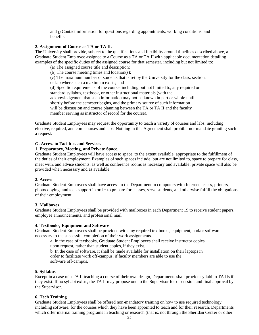and j) Contact information for questions regarding appointments, working conditions, and benefits.

### **2. Assignment of Course as TA or TA II.**

The University shall provide, subject to the qualifications and flexibility around timelines described above, a Graduate Student Employee assigned to a Course as a TA or TA II with applicable documentation detailing examples of the specific duties of the assigned course for that semester, including but not limited to:

- (a) The assigned course title and description;
- (b) The course meeting times and location(s);
- (c) The maximum number of students that is set by the University for the class, section,
- or lab where such a maximum exists; and

(d) Specific requirements of the course, including but not limited to, any required or standard syllabus, textbook, or other instructional materials (with the acknowledgement that such information may not be known in part or whole until shortly before the semester begins, and the primary source of such information will be discussion and course planning between the TA or TA II and the faculty member serving as instructor of record for the course).

Graduate Student Employees may request the opportunity to teach a variety of courses and labs, including elective, required, and core courses and labs. Nothing in this Agreement shall prohibit nor mandate granting such a request.

# **G. Access to Facilities and Services**

# **1. Preparatory, Meeting, and Private Space.**

Graduate Student Employees will have access to space, to the extent available, appropriate to the fulfillment of the duties of their employment. Examples of such spaces include, but are not limited to, space to prepare for class, meet with, and advise students, as well as conference rooms as necessary and available; private space will also be provided when necessary and as available.

### **2. Access**

Graduate Student Employees shall have access in the Department to computers with Internet access, printers, photocopying, and tech support in order to prepare for classes, serve students, and otherwise fulfill the obligations of their employment.

### **3. Mailboxes**

Graduate Student Employees shall be provided with mailboxes in each Department 19 to receive student papers, employee announcements, and professional mail.

# **4. Textbooks, Equipment and Software**

Graduate Student Employees shall be provided with any required textbooks, equipment, and/or software necessary to the successful completion of their work assignments.

a. In the case of textbooks, Graduate Student Employees shall receive instructor copies upon request, rather than student copies, if they exist.

b. In the case of software, it shall be made available for installation on their laptops in order to facilitate work off-campus, if faculty members are able to use the software off-campus.

### **5. Syllabus**

Except in a case of a TA II teaching a course of their own design, Departments shall provide syllabi to TA IIs if they exist. If no syllabi exists, the TA II may propose one to the Supervisor for discussion and final approval by the Supervisor.

# **6. Tech Training**

Graduate Student Employees shall be offered non-mandatory training on how to use required technology, including software, for the courses which they have been appointed to teach and for their research. Departments which offer internal training programs in teaching or research (that is, not through the Sheridan Center or other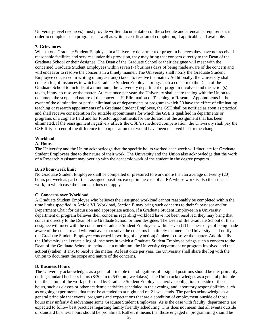University-level resources) must provide written documentation of the schedule and attendance requirement in order to complete such programs, as well as written certification of completion, if applicable and available.

### **7. Grievances**

When a one Graduate Student Employee in a University department or program believes they have not received reasonable facilities and services under this provision, they may bring that concern directly to the Dean of the Graduate School or their designee. The Dean of the Graduate School or their designee will meet with the concerned Graduate Student Employees within seven (7) business days of being made aware of the concern and will endeavor to resolve the concerns in a timely manner. The University shall notify the Graduate Student Employee concerned in writing of any action(s) taken to resolve the matter. Additionally, the University shall create a log of instances in which a Graduate Student Employee brings such a concern to the Dean of the Graduate School to include, at a minimum, the University department or program involved and the action(s) taken, if any, to resolve the matter. At least once per year, the University shall share the log with the Union to document the scope and nature of the concerns. H. Elimination of Teaching or Research Appointments In the event of the elimination or partial elimination of departments or programs which 20 have the effect of eliminating teaching or research appointments of a Graduate Student Employee, the GSE shall be notified as soon as practical and shall receive consideration for suitable appointments for which the GSE is qualified in departments or programs of a cognate field and for Proctor appointments for the duration of the assignment that has been eliminated. If the reassignment negatively affects the GSE's scheduled compensation, the University shall pay the GSE fifty percent of the difference in compensation that would have been received but for the change.

# **Workload**

# **A. Hours**

The University and the Union acknowledge that the specific hours worked each week will fluctuate for Graduate Student Employees due to the nature of their work. The University and the Union also acknowledge that the work of a Research Assistant may overlap with the academic work of the student in the degree program.

### **B. 20 hour/week limit**

No Graduate Student Employee shall be compelled or pressured to work more than an average of twenty (20) hours per week as part of their assigned position, except in the case of an RA whose work is also their thesis work, in which case the hour cap does not apply.

### **C. Concerns over Workload**

A Graduate Student Employee who believes their assigned workload cannot reasonably be completed within the time limits specified in Article VI, Workload, Section B may bring such concerns to their Supervisor and/or Department Chair for discussion and appropriate action. If a Graduate Student Employee in a University department or program believes their concerns regarding workload have not been resolved, they may bring that concern directly to the Dean of the Graduate School or their designee. The Dean of the Graduate School or their designee will meet with the concerned Graduate Student Employees within seven (7) business days of being made aware of the concern and will endeavor to resolve the concerns in a timely manner. The University shall notify the Graduate Student Employee concerned in writing of any action(s) taken to resolve the matter. Additionally, the University shall create a log of instances in which a Graduate Student Employee brings such a concern to the Dean of the Graduate School to include, at a minimum, the University department or program involved and the action(s) taken, if any, to resolve the matter. At least once per year, the University shall share the log with the Union to document the scope and nature of the concerns.

### **D. Business Hours**

The University acknowledges as a general principle that obligations of assigned positions should be met primarily during standard business hours (8:30 am to 5:00 pm, weekdays). The Union acknowledges as a general principle that the nature of the work performed by Graduate Student Employees involves obligations outside of those hours, such as classes or other academic activities scheduled in the evening, and laboratory responsibilities, such as ongoing experiments, that must be attended to at night and on 21 weekends. The parties acknowledge as a general principle that events, programs and expectations that are a condition of employment outside of those hours may unfairly disadvantage some Graduate Student Employees. As is the case with faculty, departments are expected to follow best practices regarding family friendly scheduling. This does not mean that all events outside of standard business hours should be prohibited. Rather, it means that those engaged in programming should be